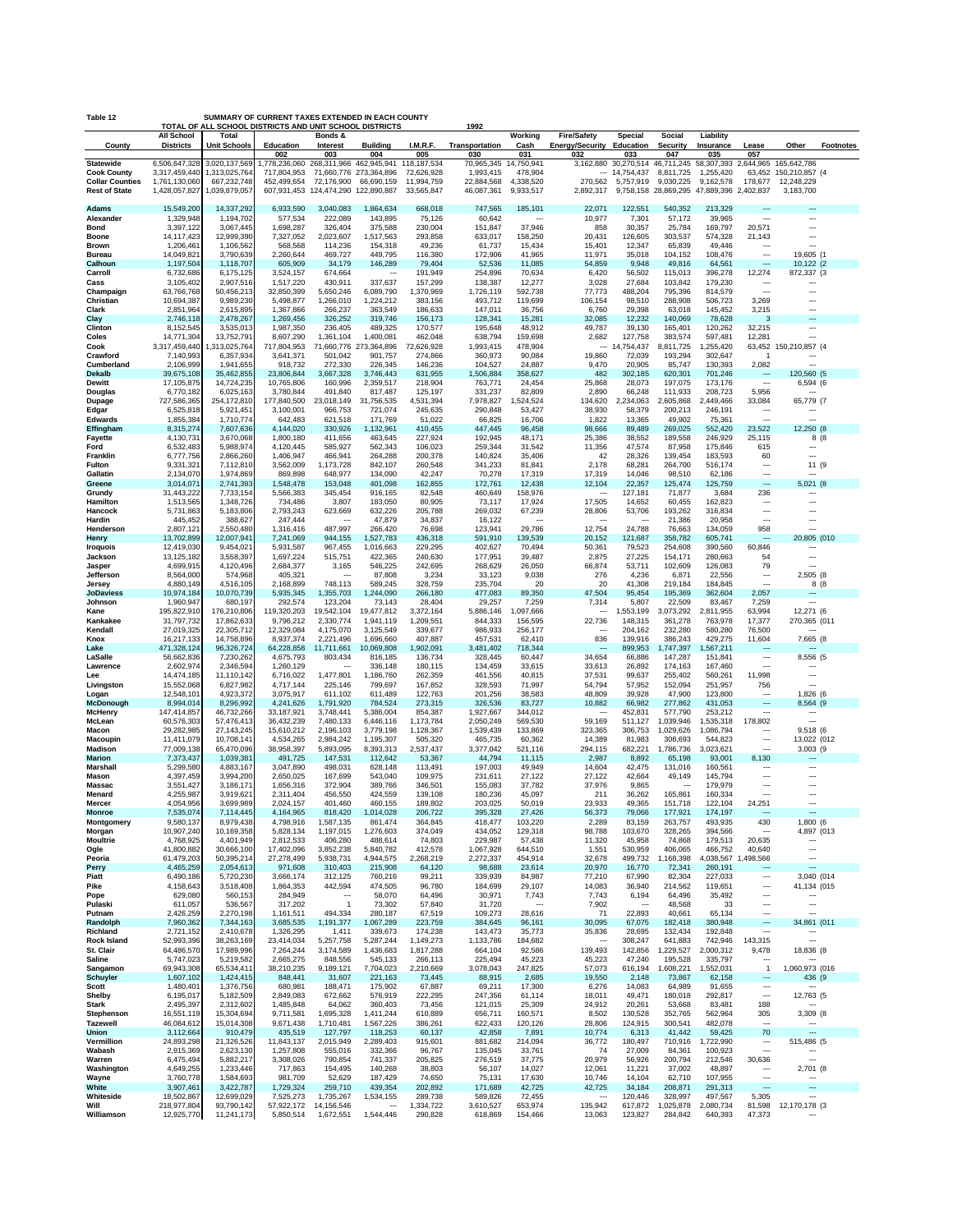| SUMMARY OF CURRENT TAXES EXTENDED IN EACH COUNTY<br>Table 12<br>TOTAL OF ALL SCHOOL DISTRICTS AND UNIT SCHOOL DISTRICTS<br>1992 |                                       |                                |                                        |                                       |                                   |                           |                          |                        |                                                 |                         |                                                         |                      |                                       |                                                      |                  |
|---------------------------------------------------------------------------------------------------------------------------------|---------------------------------------|--------------------------------|----------------------------------------|---------------------------------------|-----------------------------------|---------------------------|--------------------------|------------------------|-------------------------------------------------|-------------------------|---------------------------------------------------------|----------------------|---------------------------------------|------------------------------------------------------|------------------|
| County                                                                                                                          | <b>All School</b><br><b>Districts</b> | Total<br><b>Unit Schools</b>   | Education                              | Bonds &<br>Interest                   | <b>Building</b>                   | I.M.R.F.                  |                          | Working                | <b>Fire/Safety</b><br>Energy/Security Education | <b>Special</b>          | Social<br><b>Security</b>                               | Liability            |                                       | Other                                                | <b>Footnotes</b> |
|                                                                                                                                 |                                       |                                | 002                                    | 003                                   | 004                               | 005                       | Transportation<br>030    | Cash<br>031            | 032                                             | 033                     | 047                                                     | Insurance<br>035     | Lease<br>057                          |                                                      |                  |
| <b>Statewide</b><br><b>Cook County</b>                                                                                          | 6,506,647,328<br>3,317,459,440        | 3,020,137,569<br>1,313,025,764 | 1,778,236,060<br>717,804,953           | 268,311,966<br>71,660,776 273,364,896 | 462,945,941                       | 118,187,534<br>72,626,928 | 70,965,345<br>1,993,415  | 14,750,941<br>478,904  |                                                 | $-14,754,437$           | 3,162,880 30,270,514 46,711,245 58,307,393<br>8,811,725 | 1,255,420            | 2,644,965                             | 165,642,786<br>63,452 150,210,857 (4                 |                  |
| <b>Collar Counties</b><br><b>Rest of State</b>                                                                                  | 1,761,130,060<br>1,428,057,827        | 667,232,748                    | 452,499,654<br>607,931,453 124,474,290 | 72,176,900                            | 66,690,159<br>122,890,887         | 11,994,759<br>33,565,847  | 22,884,568<br>46,087,361 | 4,338,520<br>9,933,517 | 270,562<br>2,892,317                            | 5,757,919               | 9,030,225<br>9,758,158 28,869,295 47,889,396 2,402,837  | 9,162,578            | 178,677                               | 12,248,229<br>3.183.700                              |                  |
|                                                                                                                                 |                                       | 1,039,879,057                  |                                        |                                       |                                   |                           |                          |                        |                                                 |                         |                                                         |                      |                                       |                                                      |                  |
| <b>Adams</b><br>Alexander                                                                                                       | 15,549,200<br>1,329,948               | 14,337,292<br>1,194,702        | 6,933,590<br>577,534                   | 3,040,083<br>222,089                  | 1,864,634<br>143,895              | 668,018<br>75,126         | 747,565<br>60,642        | 185,101                | 22,071<br>10,977                                | 122,551<br>7,301        | 540,352<br>57,172                                       | 213,329<br>39,965    | $\overline{\phantom{a}}$              |                                                      |                  |
| Bond<br><b>Boone</b>                                                                                                            | 3,397,122<br>14,117,423               | 3,067,445<br>12,999,390        | 1,698,287<br>7,327,052                 | 326,404<br>2,023,607                  | 375,588<br>1,517,563              | 230,004<br>293,858        | 151,847<br>633,017       | 37,946<br>158,250      | 858<br>20,431                                   | 30,357<br>126,605       | 25,784<br>303,537                                       | 169,797<br>574,328   | 20,571<br>21,143                      | <br>$\overline{\phantom{a}}$                         |                  |
| Brown                                                                                                                           | 1,206,461                             | 1,106,562                      | 568,568                                | 114,236                               | 154,318                           | 49,236                    | 61,737                   | 15,434                 | 15,401                                          | 12,347                  | 65,839                                                  | 49,446               |                                       | ---                                                  |                  |
| Bureau<br>Calhoun                                                                                                               | 14,049,821<br>1,197,504               | 3,790,639<br>1,118,707         | 2,260,644<br>605,909                   | 469,727<br>34,179                     | 449,795<br>146,289                | 116,380<br>79,404         | 172,906<br>52,536        | 41,965<br>11,085       | 11,971<br>54,859                                | 35,018<br>9,948         | 104,152<br>49,816                                       | 108,476<br>64,561    | ---<br>---                            | 19,605 (1<br>10,122 (2                               |                  |
| Carroll<br>Cass                                                                                                                 | 6,732,686<br>3,105,402                | 6,175,125<br>2,907,516         | 3,524,157<br>1,517,220                 | 674,664<br>430,911                    | 337,637                           | 191,949<br>157,299        | 254,896<br>138,387       | 70,634<br>12,277       | 6,420<br>3,028                                  | 56,502<br>27,684        | 115,013<br>103,842                                      | 396,278<br>179,230   | 12,274<br>$\ddotsc$                   | 872,337 (3                                           |                  |
| Champaign                                                                                                                       | 63,766,768                            | 50,456,213                     | 32,850,399                             | 5,650,246                             | 6,089,790                         | 1,370,969                 | 1,726,119                | 592,738                | 77,773                                          | 488,204                 | 795,396                                                 | 814,579              | ---                                   |                                                      |                  |
| Christian<br>Clark                                                                                                              | 10,694,387<br>2,851,964               | 9,989,230<br>2,615,895         | 5,498,877<br>1,367,866                 | 1,266,010<br>266,237                  | 1,224,212<br>363,549              | 383,156<br>186,633        | 493,712<br>147,011       | 119,699<br>36,756      | 106,154<br>6,760                                | 98,510<br>29,398        | 288,908<br>63,018                                       | 506,723<br>145,452   | 3,269<br>3,215                        | --                                                   |                  |
| Clay<br>Clinton                                                                                                                 | 2,746,118<br>8,152,545                | 2,478,267<br>3,535,013         | 1,269,456<br>1,987,350                 | 326,252<br>236,405                    | 319,746<br>489,325                | 156,173<br>170,577        | 128,341<br>195,648       | 15,281<br>48,912       | 32,085<br>49,787                                | 12,232<br>39,130        | 140,069<br>165,401                                      | 78,628<br>120,262    | 3<br>32,215                           | Щ,<br>---                                            |                  |
| Coles                                                                                                                           | 14,771,304                            | 13,752,791                     | 8,607,290                              | 1,361,104                             | 1,400,081                         | 462,048                   | 638,794                  | 159,698                | 2,682                                           | 127,758                 | 383,574                                                 | 597,481              | 12,281                                |                                                      |                  |
| Cook<br>Crawford                                                                                                                | 3,317,459,440<br>7,140,993            | 1,313,025,764<br>6,357,934     | 717,804,953<br>3,641,371               | 501,042                               | 71,660,776 273,364,896<br>901,757 | 72,626,928<br>274,866     | 1,993,415<br>360,973     | 478,904<br>90,084      | 19,860                                          | -- 14,754,437<br>72,039 | 8,811,725<br>193,294                                    | 1,255,420<br>302,647 | -1                                    | 63,452 150,210,857 (4<br>---                         |                  |
| Cumberland<br>Dekalb                                                                                                            | 2,106,999<br>39,675,108               | 1,941,655<br>35,462,855        | 918,732<br>23,806,844                  | 272,330<br>3,667,328                  | 226,345<br>3,746,443              | 146,236<br>631,955        | 104,527<br>1,506,884     | 24,887<br>358,627      | 9,470<br>482                                    | 20,905<br>302,185       | 85,747<br>620,301                                       | 130,393<br>701,246   | 2,082<br>---                          | ---<br>120,560 (5                                    |                  |
| <b>Dewitt</b>                                                                                                                   | 17,105,875                            | 14,724,235                     | 10,765,806                             | 160,996                               | 2,359,517                         | 218,904                   | 763,771                  | 24,454                 | 25,868                                          | 28,073                  | 197,075                                                 | 173,176              | ---                                   | 6,594 (6                                             |                  |
| Douglas<br>Dupage                                                                                                               | 6,770,182<br>727,586,365              | 6,025,163<br>254,172,810       | 3,780,844<br>177,840,500               | 491,840<br>23,018,149                 | 817,487<br>31,756,535             | 125,197<br>4,531,394      | 331,237<br>7,978,827     | 82,809<br>,524,524     | 2,890<br>134,620                                | 66,248<br>2,234,063     | 111,933<br>2,605,868                                    | 208,723<br>2,449,466 | 5,956<br>33,084                       | 65,779 (7                                            |                  |
| Edgar<br><b>Edwards</b>                                                                                                         | 6,525,818<br>1,855,384                | 5,921,451<br>1.710.774         | 3,100,001<br>642,483                   | 966,753<br>621,518                    | 721,074<br>171,769                | 245,635<br>51,022         | 290,848<br>66,825        | 53,427<br>16,706       | 38,930<br>1,822                                 | 58,379<br>13,365        | 200,213<br>49,902                                       | 246,191<br>75,361    | $\overline{\phantom{a}}$<br>---       | ---                                                  |                  |
| Effingham                                                                                                                       | 8,315,274                             | 7,607,636                      | 4.144.020                              | 330,926                               | 1,132,961                         | 410,455                   | 447,445                  | 96,458                 | 98,666                                          | 89,489                  | 269,025                                                 | 552,420              | 23,522                                | 12,250 (8                                            |                  |
| <b>Fayette</b><br>Ford                                                                                                          | 4,130,73<br>6,532,483                 | 3,670,068<br>5,988,974         | 1,800,180<br>4,120,445                 | 411,656<br>585,927                    | 463,645<br>562,343                | 227,924<br>106,023        | 192,945<br>259,344       | 48,171<br>31,542       | 25,386<br>11,356                                | 38,552<br>47,574        | 189,558<br>87,958                                       | 246,929<br>175,846   | 25,115<br>615                         | 8 (8<br>                                             |                  |
| Franklin<br>Fulton                                                                                                              | 6,777,756<br>9,331,321                | 2,866,260<br>7,112,810         | 1,406,947<br>3,562,009                 | 466,941<br>1,173,728                  | 264,288<br>842,107                | 200,378<br>260,548        | 140,824<br>341,233       | 35,406<br>81,841       | 42<br>2,178                                     | 28,326<br>68,281        | 139,454<br>264,700                                      | 183,593<br>516,174   | 60<br>---                             | 11 (9                                                |                  |
| Gallatin                                                                                                                        | 2,134,070                             | 1,974,869                      | 869,898                                | 648,977                               | 134,090                           | 42,247                    | 70,278                   | 17,319                 | 17,319                                          | 14,046                  | 98,510                                                  | 62,186               | $\overline{\phantom{a}}$              |                                                      |                  |
| Greene<br>Grundy                                                                                                                | 3,014,071<br>31,443,222               | 2,741,393<br>7,733,154         | 1,548,478<br>5,566,383                 | 153,048<br>345,454                    | 401,098<br>916,165                | 162,855<br>82,548         | 172,761<br>460,649       | 12,438<br>158,976      | 12,104<br>---                                   | 22,357<br>127,181       | 125,474<br>71,877                                       | 125,759<br>3,684     | $\sim$<br>236                         | 5,021 (8                                             |                  |
| <b>Hamilton</b><br>Hancock                                                                                                      | 1,513,565<br>5,731,863                | 1,348,726<br>5,183,806         | 734,486<br>2,793,243                   | 3,807<br>623,669                      | 183,050<br>632,226                | 80,905<br>205,788         | 73,117<br>269,032        | 17,924<br>67,239       | 17,505                                          | 14,652<br>53,706        | 60,455<br>193,262                                       | 162,823<br>316,834   | ---<br>$\overline{\phantom{a}}$       | ---<br>$\overline{\phantom{a}}$                      |                  |
| Hardin                                                                                                                          | 445,452                               | 388,627                        | 247,444                                |                                       | 47,879                            | 34,837                    | 16,122                   |                        | 28,806<br>$\ddotsc$                             |                         | 21,386                                                  | 20,958               | ---                                   |                                                      |                  |
| Henderson<br>Henry                                                                                                              | 2,807,121<br>13.702.899               | 2,550,480<br>12,007,941        | 1,316,416<br>7,241,069                 | 487,997<br>944,155                    | 266,420<br>1,527,783              | 76,698<br>436,318         | 123,941<br>591,910       | 29,786<br>139,539      | 12,754<br>20,152                                | 24,788<br>121,687       | 76,663<br>358,782                                       | 134,059<br>605,741   | 958                                   | 20,805 (010                                          |                  |
| <b>Iroquois</b><br>Jackson                                                                                                      | 12,419,030<br>13,125,182              | 9,454,021<br>3,558,397         | 5,931,587<br>1,697,224                 | 967,455<br>515,751                    | 1,016,663<br>422,365              | 229,295<br>240,630        | 402,627<br>177,951       | 70,494<br>39,487       | 50,361<br>2,875                                 | 79,523<br>27,225        | 254,608<br>154,171                                      | 390,560<br>280,663   | 60,846<br>54                          |                                                      |                  |
| Jasper                                                                                                                          | 4,699,915                             | 4,120,496                      | 2,684,377                              | 3,165                                 | 546,225                           | 242,695                   | 268,629                  | 26,050                 | 66,874                                          | 53,711                  | 102,609                                                 | 126,083              | 79                                    | ---                                                  |                  |
| Jefferson<br>Jersey                                                                                                             | 8,564,000<br>4,880,149                | 574,968<br>4,516,105           | 405,321<br>2,168,899                   | $\overline{\phantom{a}}$<br>748,113   | 87,808<br>589,245                 | 3,234<br>328,759          | 33,123<br>235,704        | 9,038<br>20            | 276<br>20                                       | 4,236<br>41,308         | 6,871<br>219,184                                        | 22,556<br>184,845    | ---<br>$\overline{\phantom{a}}$       | 2,505 (8<br>8 (8                                     |                  |
| <b>JoDaviess</b><br>Johnson                                                                                                     | 10,974,184<br>1,960,947               | 10,070,739<br>680,197          | 5,935,345<br>292,574                   | 1,355,703<br>123,204                  | 1,244,090<br>73,143               | 266,180<br>28,404         | 477,083<br>29,257        | 89,350<br>7,259        | 47,504<br>7,314                                 | 95,454<br>5,807         | 195,369<br>22,509                                       | 362,604<br>83,467    | 2,057<br>7,259                        | ---                                                  |                  |
| Kane                                                                                                                            | 195,822,910                           | 176,210,806                    | 119,320,203                            | 19,542,104                            | 19,477,812                        | 3,372,164                 | 5,886,146                | ,097,666<br>1          | $\overline{\phantom{a}}$                        | 1,553,199               | 3,073,292                                               | 2,811,955            | 63,994                                | 12,271 (6                                            |                  |
| Kankakee<br>Kendall                                                                                                             | 31,797,732<br>27,019,325              | 17,862,633<br>22,305,712       | 9,796,212<br>12,329,084                | 2,330,774<br>4,175,070                | 1,941,119<br>3,125,549            | 1,209,551<br>339,677      | 844,333<br>986,933       | 156,595<br>256,177     | 22,736<br>$\overline{\phantom{a}}$              | 148,315<br>204,162      | 361,278<br>232,280                                      | 763,978<br>580,280   | 17,377<br>76,500                      | 270,365 (011                                         |                  |
| Knox<br>Lake                                                                                                                    | 16,217,133<br>471,328,124             | 14,758,896<br>96,326,724       | 8,937,374<br>64,228,858                | 2,221,496<br>11,711,661               | 1,696,660<br>10,069,808           | 407,887<br>1,902,091      | 457,531<br>3,481,402     | 62,410<br>718,344      | 836<br>---                                      | 139,916<br>899,953      | 386,243<br>1,747,397                                    | 429,275<br>1,567,211 | 11,604<br>---                         | 7,665 (8<br>---                                      |                  |
| LaSalle                                                                                                                         | 56,662,836                            | 7,230,262                      | 4,675,793                              | 803,434                               | 816,185                           | 136,734                   | 328,445                  | 60,447                 | 34,654                                          | 66,886                  | 147,287                                                 | 151,841              | ---<br>$\overline{\phantom{a}}$       | 8,556 (5                                             |                  |
| Lawrence<br>Lee                                                                                                                 | 2,602,974<br>14,474,185               | 2,346,594<br>11,110,142        | 1,260,129<br>6,716,022                 | 1,477,801                             | 336,148<br>1,186,760              | 180,115<br>262,359        | 134,459<br>461,556       | 33,615<br>40,815       | 33,613<br>37,531                                | 26,892<br>99,637        | 174,163<br>255,402                                      | 167,460<br>560,261   | 11,998                                |                                                      |                  |
| Livingston<br>Logan                                                                                                             | 15,552,068<br>12,548,101              | 6,827,982<br>4,923,372         | 4,717,144<br>3,075,917                 | 225,146<br>611,102                    | 799,697<br>611,489                | 167,852<br>122,763        | 328,593<br>201,256       | 71,997<br>38,583       | 54,794<br>48,809                                | 57,952<br>39,928        | 152,094<br>47,900                                       | 251,957<br>123,800   | 756<br>---                            | 1,826 (6                                             |                  |
| <b>McDonough</b>                                                                                                                | 8,994,014                             | 8,296,992                      | 4,241,626                              | 1,791,920                             | 784,524                           | 273,315                   | 326,536                  | 83,727                 | 10,882                                          | 66,982                  | 277,862                                                 | 431,053              | ---<br>$\overline{a}$                 | 8,564 (9                                             |                  |
| <b>McHenry</b><br>McLean                                                                                                        | 147,414,857<br>60,576,303             | 46,732,266<br>57,476,413       | 33, 187, 921<br>36,432,239             | 3,748,441<br>7,480,133                | 5,386,004<br>6,446,116            | 854,387<br>1,173,784      | 1,927,667<br>2,050,249   | 344,012<br>569,530     | 59,169                                          | 452,831<br>511,127      | 577,790<br>1,039,946                                    | 253,212<br>1,535,318 | 178,802                               | $\overline{\phantom{a}}$                             |                  |
| Macon<br><b>Macoupin</b>                                                                                                        | 29,282,985<br>11.411.079              | 27, 143, 245<br>10,708,141     | 15,610,212<br>4,534,265                | 2,196,103<br>2.984.242                | 3,779,198<br>1,195,307            | 1,128,367<br>505,320      | 1,539,439<br>465,735     | 133,869<br>60,362      | 323,365<br>14,389                               | 306,753<br>81,983       | 1,029,626<br>308,693                                    | 1,086,794<br>544,823 | $\ddotsc$<br>$\overline{\phantom{a}}$ | 9,518 (6<br>13.022 (012                              |                  |
| Madison<br><b>Marion</b>                                                                                                        | 77,009,138<br>7,373,437               | 65,470,096<br>1,039,381        | 38.958.397<br>491,725                  | 5,893,095<br>147,531                  | 8.393.313<br>112,642              | 2.537.437<br>53,367       | 3.377.042<br>44,794      | 521,116<br>11,115      | 294,115<br>2,987                                | 682,221<br>8,892        | 1,786,736<br>65,198                                     | 3,023,621<br>93,001  | 8,130                                 | $3,003$ (9                                           |                  |
| <b>Marshall</b>                                                                                                                 | 5,299,580                             | 4,883,167                      | 3,047,890                              | 498,031                               | 628,148                           | 113,491                   | 197,003                  | 49,949                 | 14,604                                          | 42,475                  | 131,016                                                 | 160,561              | ---                                   | ---                                                  |                  |
| Mason<br><b>Massac</b>                                                                                                          | 4,397,459<br>3,551,427                | 3,994,200<br>3,186,171         | 2,650,025<br>1,656,316                 | 167,699<br>372,904                    | 543,040<br>389,766                | 109,975<br>346,501        | 231,611<br>155,083       | 27,122<br>37,782       | 27,122<br>37,976                                | 42,664<br>9,865         | 49,149                                                  | 145,794<br>179,979   | ---<br>                               | ---<br>                                              |                  |
| Menard<br>Mercer                                                                                                                | 4,255,987<br>4,054,956                | 3,919,621<br>3,699,989         | 2,311,404<br>2,024,157                 | 456,550<br>401,460                    | 424,559<br>460,155                | 139,108<br>189,802        | 180,236<br>203,025       | 45,097<br>50,019       | 211<br>23,933                                   | 36,262<br>49,365        | 165,861<br>151,718                                      | 160,334<br>122,104   | 24,251                                | --<br>---                                            |                  |
| Monroe                                                                                                                          | 7,535,074                             | 7,114,445                      | 4,164,965                              | 818,420                               | 1,014,028                         | 206,722                   | 395,328                  | 27,426                 | 56,373                                          | 79,066                  | 177,92                                                  | 174,197              |                                       |                                                      |                  |
| Montgomery<br>Morgan                                                                                                            | 9,580,137<br>10,907,240               | 8,979,438<br>10,169,358        | 4,798,916<br>5,828,134                 | 1,587,135<br>1,197,015                | 861,474<br>1,276,603              | 364,845<br>374,049        | 418,477<br>434,052       | 103,220<br>129,318     | 2,289<br>98,788                                 | 83,159<br>103,670       | 263,757<br>328,265                                      | 493,935<br>394,566   | 430<br>---                            | 1,800 (6<br>4,897 (013                               |                  |
| <b>Moultrie</b><br>Ogle                                                                                                         | 4,768,925<br>41,800,882               | 4,401,949<br>30,666,100        | 2,812,533<br>17,402,096                | 406,280<br>3,852,238                  | 488,614<br>5,840,782              | 74,803<br>412,578         | 229,987<br>1,067,928     | 57,438<br>644,510      | 11,320<br>1,551                                 | 45,958<br>530,959       | 74,868<br>406,065                                       | 179,513<br>466,752   | 20,635<br>40,640                      | $\ddotsc$<br>$\overline{\phantom{a}}$                |                  |
| Peoria                                                                                                                          | 61,479,203                            | 50,395,214                     | 27,278,499                             | 5,938,731                             | 4,944,575                         | 2,268,219                 | 2,272,337                | 454,914                | 32,678                                          | 499,732                 | 1,168,398                                               | 4,038,567            | ,498,566<br>-1                        | <br>---                                              |                  |
| Perry<br>Piatt                                                                                                                  | 4,465,259<br>6,490,186                | 2,054,613<br>5,720,230         | 971,608<br>3,666,174                   | 310,403<br>312,125                    | 215,908<br>760,216                | 64,120<br>99,211          | 98,688<br>339,939        | 23,614<br>84,987       | 20,970<br>77,210                                | 16,770<br>67,990        | 72,341<br>82,304                                        | 260,191<br>227,033   | $\overline{\phantom{a}}$              | 3,040 (014                                           |                  |
| Pike<br>Pope                                                                                                                    | 4,158,643<br>629,080                  | 3,518,408<br>560,153           | 1,864,353<br>284,949                   | 442,594                               | 474,505<br>58,070                 | 96,780<br>64,496          | 184,699<br>30,971        | 29,107<br>7,743        | 14,083<br>7,743                                 | 36,940<br>6,194         | 214,562<br>64,496                                       | 119,651<br>35,492    | ---<br>---                            | 41,134 (015                                          |                  |
| Pulaski                                                                                                                         | 611,057                               | 536,567                        | 317,202                                | $\mathbf{1}$                          | 73,302                            | 57,840                    | 31,720                   |                        | 7,902                                           |                         | 48,568                                                  | 33                   |                                       | ---                                                  |                  |
| Putnam<br>Randolph                                                                                                              | 2,426,259<br>7,960,362                | 2,270,198<br>7,344,163         | 1,161,511<br>3,685,535                 | 494,334<br>1,191,377                  | 280,187<br>1,067,289              | 67,519<br>223,759         | 109,273<br>384,645       | 28,616<br>96,161       | 71<br>30,095                                    | 22,893<br>67,075        | 40,661<br>182,418                                       | 65,134<br>380,948    | <br>--                                | 34,861 (011                                          |                  |
| Richland<br><b>Rock Island</b>                                                                                                  | 2,721,152<br>52,993,396               | 2,410,678<br>38,263,169        | 1,326,295<br>23,414,034                | 1,411<br>5,257,758                    | 339,673<br>5,287,244              | 174,238<br>1,149,273      | 143,473<br>1,133,786     | 35,773<br>184,682      | 35,836<br>---                                   | 28,695<br>308,247       | 132,434<br>641,883                                      | 192,848<br>742,946   | ---<br>143,315                        | $\overline{\phantom{a}}$<br>$\overline{\phantom{a}}$ |                  |
| St. Clair<br><b>Saline</b>                                                                                                      | 64,486,570                            | 17,989,996<br>5,219,582        | 7,264,244                              | 3,174,589<br>848,556                  | 1,436,683                         | 1,817,288                 | 664,104<br>225,494       | 92,586<br>45,223       | 139,493<br>45,223                               | 142,856                 | 1,229,527                                               | 2,000,312            | 9,478                                 | 18,836 (8                                            |                  |
| Sangamon                                                                                                                        | 5,747,023<br>69,943,308               | 65,534,411                     | 2,665,275<br>38,210,235                | 9,189,121                             | 545,133<br>7,704,023              | 266,113<br>2,210,669      | 3,078,043                | 247,825                | 57,073                                          | 47,240<br>616,194       | 195,528<br>1,608,221                                    | 335,797<br>1,552,031 | $\overline{1}$                        | 1,060,973 (016                                       |                  |
| <b>Schuyler</b><br>Scott                                                                                                        | 1,607,102<br>1,480,401                | 1,424,415<br>1,376,756         | 848,441<br>680,981                     | 31,607<br>188,471                     | 221,163<br>175,902                | 73,445<br>67,887          | 88,915<br>69,211         | 2,685<br>17,300        | 19,550<br>6,276                                 | 2,148<br>14,083         | 73,867<br>64,989                                        | 62,158<br>91,655     | ---<br>$\overline{\phantom{a}}$       | 436 (9<br>---                                        |                  |
| Shelby                                                                                                                          | 6,195,017<br>2,495,397                | 5,182,509<br>2,312,602         | 2.849.083<br>1,485,848                 | 672,662<br>64,062                     | 576,919<br>360,403                | 222,295<br>73,456         | 247,356<br>121,015       | 61,114<br>25,309       | 18,011<br>24,912                                | 49,471<br>20,261        | 180,018<br>53,668                                       | 292,817<br>83,481    | $\overline{\phantom{a}}$<br>188       | 12,763 (5                                            |                  |
| Stark<br>Stephenson                                                                                                             | 16,551,119                            | 15,304,694                     | 9,711,581                              | 1,695,328                             | 1,411,244                         | 610,889                   | 656,711                  | 160,571                | 8,502                                           | 130,528                 | 352,765                                                 | 562,964              | 305                                   | 3,309 (8                                             |                  |
| <b>Tazewell</b><br>Union                                                                                                        | 46,084,612<br>3,112,664               | 15,014,308<br>910,479          | 9,671,438<br>435,519                   | 1,710,481<br>127,797                  | 1,567,226<br>118,253              | 386,261<br>60,137         | 622,433<br>42,858        | 120,126<br>7,891       | 28,806<br>10,774                                | 124,915<br>6,313        | 300,541<br>41,442                                       | 482,078<br>59,425    | $\overline{\phantom{a}}$<br>70        | ---<br>$\overline{a}$                                |                  |
| Vermillion                                                                                                                      | 24,893,298                            | 21,326,526                     | 11,843,137                             | 2,015,949                             | 2,289,403                         | 915,601                   | 881,682                  | 214,094                | 36,772                                          | 180,497                 | 710,916                                                 | 1,722,990            | ---<br>$\overline{\phantom{a}}$       | 515,486 (5<br>---                                    |                  |
| Wabash<br>Warren                                                                                                                | 2,915,369<br>6,475,494                | 2,623,130<br>5,882,217         | 1,257,808<br>3,308,026                 | 555,016<br>790,854                    | 332,366<br>741,337                | 96,767<br>205,825         | 135,045<br>276,519       | 33,761<br>37,775       | 74<br>20,979                                    | 27,009<br>56,926        | 84,361<br>200,794                                       | 100,923<br>212,546   | 30,636                                | ---                                                  |                  |
| Washington<br>Wayne                                                                                                             | 4,649,255<br>3,760,778                | 1,233,446<br>1,584,693         | 717,863<br>981,709                     | 154,495<br>52,629                     | 140,268<br>187,429                | 38,803<br>74,650          | 56,107<br>75,131         | 14,027<br>17,630       | 12,061<br>10,746                                | 11,221<br>14,104        | 37,002<br>62,710                                        | 48,897<br>107,955    | ---<br>$\overline{\phantom{a}}$       | 2,701 (8<br>---                                      |                  |
| White<br>Whiteside                                                                                                              | 3,907,461<br>18,502,867               | 3,422,787<br>12,699,029        | 1,729,324<br>7,525,273                 | 259,710<br>1,735,267                  | 439,354<br>1,534,155              | 202,892<br>289,738        | 171,689<br>589,826       | 42,725<br>72,455       | 42,725<br>$\overline{\phantom{a}}$              | 34,184<br>120,446       | 208,871<br>328,997                                      | 291,313<br>497,567   | $\overline{\phantom{a}}$<br>5,305     | <br>---                                              |                  |
| Will                                                                                                                            | 218,977,804                           | 93,790,142                     | 57,922,172                             | 14,156,546                            | $\overline{\phantom{a}}$          | 1,334,722                 | 3,610,527                | 653,974                | 135,942                                         | 617,872                 | 1,025,878                                               | 2,080,734            | 81,598                                | 12,170,178 (3                                        |                  |
| Williamson                                                                                                                      | 12,925,770                            | 11,241,173                     | 5,850,514                              | 1,672,551                             | 1,544,446                         | 290,828                   | 618,869                  | 154,466                | 13,063                                          | 123,827                 | 284,842                                                 | 640,393              | 47,373                                | ---                                                  |                  |